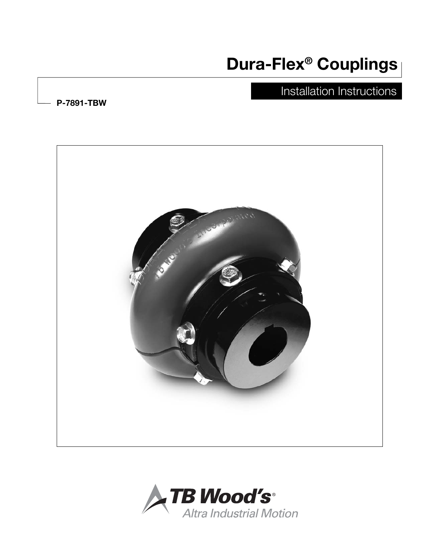# Dura-Flex® Couplings

## Installation Instructions

P-7891-TBW



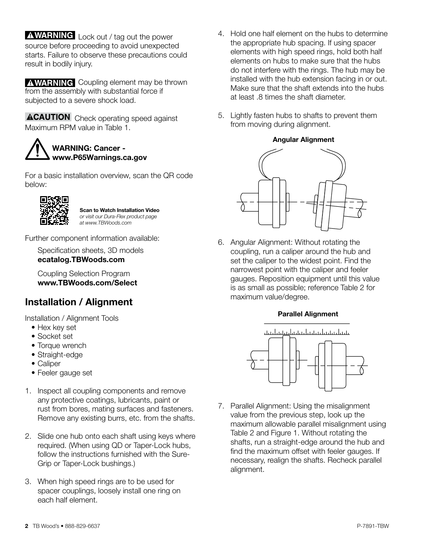**AWARNING** Lock out / tag out the power source before proceeding to avoid unexpected starts. Failure to observe these precautions could result in bodily injury.

**A WARNING** Coupling element may be thrown from the assembly with substantial force if subjected to a severe shock load.

**ACAUTION** Check operating speed against Maximum RPM value in Table 1.



For a basic installation overview, scan the QR code below:



Scan to Watch Installation Video *or visit our Dura-Flex product page at www.TBWoods.com*

Further component information available:

Specification sheets, 3D models ecatalog.TBWoods.com

Coupling Selection Program www.TBWoods.com/Select

## Installation / Alignment

Installation / Alignment Tools

- Hex key set
- Socket set
- Torque wrench
- Straight-edge
- Caliper
- Feeler gauge set
- 1. Inspect all coupling components and remove any protective coatings, lubricants, paint or rust from bores, mating surfaces and fasteners. Remove any existing burrs, etc. from the shafts.
- 2. Slide one hub onto each shaft using keys where required. (When using QD or Taper-Lock hubs, follow the instructions furnished with the Sure-Grip or Taper-Lock bushings.)
- 3. When high speed rings are to be used for spacer couplings, loosely install one ring on each half element.
- 4. Hold one half element on the hubs to determine the appropriate hub spacing. If using spacer elements with high speed rings, hold both half elements on hubs to make sure that the hubs do not interfere with the rings. The hub may be installed with the hub extension facing in or out. Make sure that the shaft extends into the hubs at least .8 times the shaft diameter.
- 5. Lightly fasten hubs to shafts to prevent them from moving during alignment.

### Angular Alignment



6. Angular Alignment: Without rotating the coupling, run a caliper around the hub and set the caliper to the widest point. Find the narrowest point with the caliper and feeler gauges. Reposition equipment until this value is as small as possible; reference Table 2 for maximum value/degree.

### Parallel Alignment



7. Parallel Alignment: Using the misalignment value from the previous step, look up the maximum allowable parallel misalignment using Table 2 and Figure 1. Without rotating the shafts, run a straight-edge around the hub and find the maximum offset with feeler gauges. If necessary, realign the shafts. Recheck parallel alignment.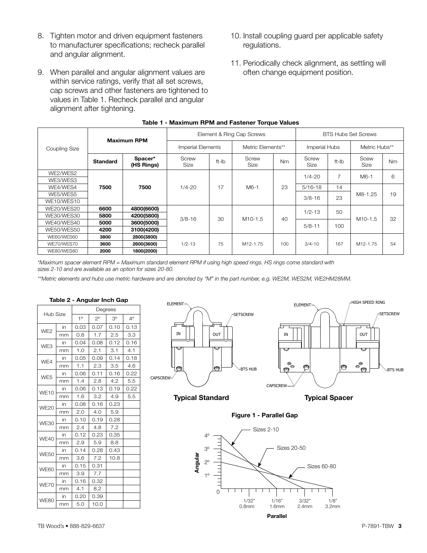- 8. Tighten motor and driven equipment fasteners to manufacturer specifications; recheck parallel and angular alignment.
- 9. When parallel and angular alignment values are within service ratings, verify that all set screws, cap screws and other fasteners are tightened to values in Table 1. Recheck parallel and angular alignment after tightening.
	- 2000 Table 1 - Maximum RPM and Fastener Torque Values Coupling Size Maximum RPM Element & Ring Cap Screws **BTS Hubs Set Screws** Imperial Elements | Metric Elements\*\* | Imperial Hubs | Metric Hubs\*\* Standard Spacer\* (HS Rings) Screw Screw tt-lb Screw<br>Size ft-lb Size Screw | Nm | Screw<br>Size | Nm | Size  $Size$  ft-lb  $Size$ Scew Nm WE2/WES2 **7500 | 7500 |** 1/4-20 | 17 | M6-1 | 23 1/4-20 <sup>7</sup> M6-1 <sup>6</sup> WE3/WES3 WE4/WES4 | **7500 | 7500** | 1/4-20 | 17 | M6-1 | 23 | 5/16-18 | 14 WE5/WES5 M8-1.25 <sup>19</sup> 3/8-16 <sup>23</sup> WE10/WES10 WE20/WES20 6600 4800(6600) 3/8-16 30 M10-1.5 40  $1/2-13$  50  $\frac{\text{WE30/WES30}}{\text{WE30/WES30}}$  5800 4200(5800) 3/8-16 30 M10-1.5 40  $\frac{12.10}{\text{W10}}$  M10-1.5 32 WE40/WES40 **5000 3600(5000)** 5000 5000 100 110 110 110 5/8-11 100<br>WE50/WES50 **4200 3100(4200)** WE60/WES60 3800 2800(3800) WE70/WES70 | **3600 | 2600(3600)** | 1/2-13 | 75 | M12-1.75 | 100 | 3/4-10 | 167 | M12-1.75 | 54 WE80/WES80 2000 1800(2000)

J

i,

*\*Maximum spacer element RPM = Maximum standard element RPM if using high speed rings. HS rings come standard with sizes 2-10 and are available as an option for sizes 20-80.*

J

*\*\*Metric elements and hubs use metric hardware and are denoted by "M" in the part number, e.g. WE2M, WES2M, WE2HM28MM.*

| Table 2 - Angular Inch Gap |    |             |             |             |           |
|----------------------------|----|-------------|-------------|-------------|-----------|
| Hub Size                   |    | Degrees     |             |             |           |
|                            |    | $1^{\circ}$ | $2^{\circ}$ | $3^{\circ}$ | $4^\circ$ |
| WE <sub>2</sub>            | in | 0.03        | 0.07        | 0.10        | 0.13      |
|                            | mm | 0.8         | 1.7         | 2.5         | 3.3       |
| WE3                        | in | 0.04        | 0.08        | 0.12        | 0.16      |
|                            | mm | 1.0         | 2.1         | 3.1         | 4.1       |
| WF4                        | in | 0.05        | 0.09        | 0.14        | 0.18      |
|                            | mm | 1.1         | 2.3         | 3.5         | 4.6       |
| WE <sub>5</sub>            | in | 0.06        | 0.11        | 0.16        | 0.22      |
|                            | mm | 1.4         | 2.8         | 4.2         | 5.5       |
| <b>WE10</b>                | in | 0.06        | 0.13        | 0.19        | 0.22      |
|                            | mm | 1.6         | 3.2         | 4.9         | 5.5       |
| <b>WE20</b>                | in | 0.08        | 0.16        | 0.23        |           |
|                            | mm | 2.0         | 4.0         | 5.9         |           |
| <b>WE30</b>                | in | 0.10        | 0.19        | 0.28        |           |
|                            | mm | 2.4         | 4.8         | 7.2         |           |
| <b>WE40</b>                | in | 0.12        | 0.23        | 0.35        |           |
|                            | mm | 2.9         | 5.9         | 8.8         |           |
| <b>WE50</b>                | in | 0.14        | 0.28        | 0.43        |           |
|                            | mm | 3.6         | 7.2         | 10.8        |           |
| <b>WE60</b>                | in | 0.15        | 0.31        |             |           |
|                            | mm | 3.9         | 7.7         |             |           |
| <b>WE70</b>                | in | 0.16        | 0.32        |             |           |
|                            | mm | 4.1         | 8.2         |             |           |
| <b>WE80</b>                | in | 0.20        | 0.39        |             |           |
|                            | mm | 5.0         | 10.0        |             |           |



10. Install coupling guard per applicable safety

11. Periodically check alignment, as settling will often change equipment position.

J

j

i,

regulations.

Typical Standard Typical Spacer